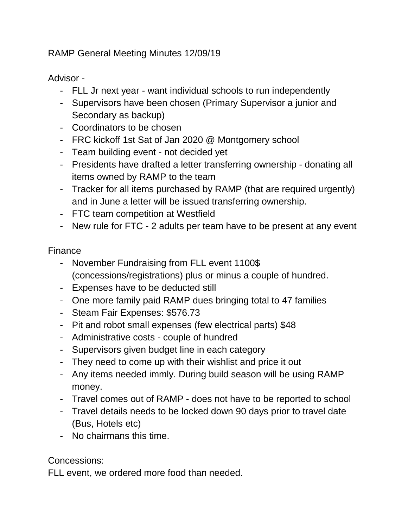RAMP General Meeting Minutes 12/09/19

Advisor -

- FLL Jr next year want individual schools to run independently
- Supervisors have been chosen (Primary Supervisor a junior and Secondary as backup)
- Coordinators to be chosen
- FRC kickoff 1st Sat of Jan 2020 @ Montgomery school
- Team building event not decided yet
- Presidents have drafted a letter transferring ownership donating all items owned by RAMP to the team
- Tracker for all items purchased by RAMP (that are required urgently) and in June a letter will be issued transferring ownership.
- FTC team competition at Westfield
- New rule for FTC 2 adults per team have to be present at any event

## Finance

- November Fundraising from FLL event 1100\$ (concessions/registrations) plus or minus a couple of hundred.
- Expenses have to be deducted still
- One more family paid RAMP dues bringing total to 47 families
- Steam Fair Expenses: \$576.73
- Pit and robot small expenses (few electrical parts) \$48
- Administrative costs couple of hundred
- Supervisors given budget line in each category
- They need to come up with their wishlist and price it out
- Any items needed immly. During build season will be using RAMP money.
- Travel comes out of RAMP does not have to be reported to school
- Travel details needs to be locked down 90 days prior to travel date (Bus, Hotels etc)
- No chairmans this time.

## Concessions:

FLL event, we ordered more food than needed.